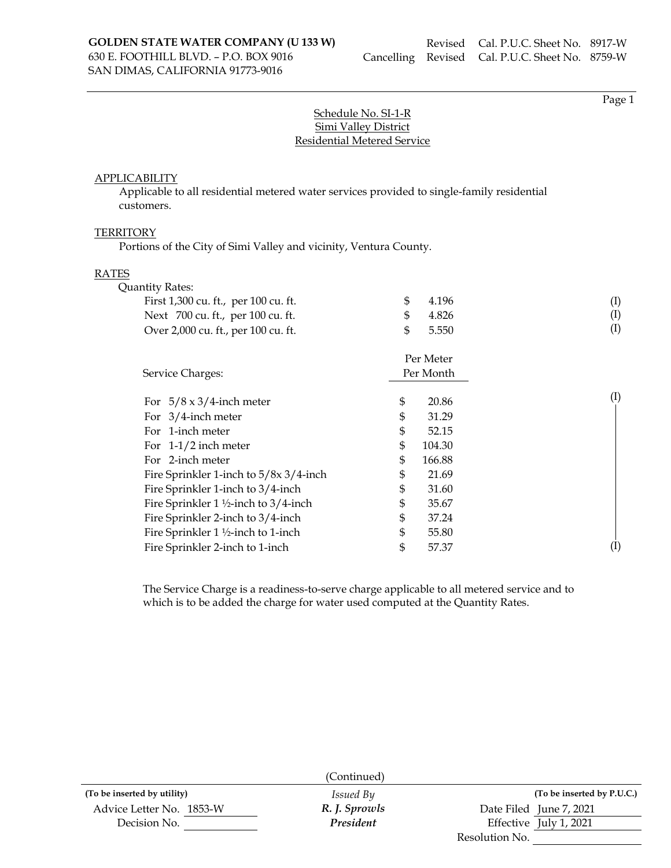SAN DIMAS, CALIFORNIA 91773-9016

Page 1

# Schedule No. SI-1-R Simi Valley District Residential Metered Service

### **APPLICABILITY**

Applicable to all residential metered water services provided to single-family residential customers.

#### **TERRITORY**

Portions of the City of Simi Valley and vicinity, Ventura County.

#### RATES

| <b>Quantity Rates:</b>                             |              |                   |
|----------------------------------------------------|--------------|-------------------|
| First 1,300 cu. ft., per 100 cu. ft.               | \$<br>4.196  | $^{(\mathrm{I})}$ |
| Next 700 cu. ft., per 100 cu. ft.                  | \$<br>4.826  | $\rm (I)$         |
| Over 2,000 cu. ft., per 100 cu. ft.                | \$<br>5.550  | $\rm(I)$          |
|                                                    | Per Meter    |                   |
| Service Charges:                                   | Per Month    |                   |
| For $5/8 \times 3/4$ -inch meter                   | \$<br>20.86  | $\rm(I)$          |
| For $3/4$ -inch meter                              | \$<br>31.29  |                   |
| For 1-inch meter                                   | \$<br>52.15  |                   |
| For $1-1/2$ inch meter                             | \$<br>104.30 |                   |
| For 2-inch meter                                   | \$<br>166.88 |                   |
| Fire Sprinkler 1-inch to 5/8x 3/4-inch             | \$<br>21.69  |                   |
| Fire Sprinkler 1-inch to 3/4-inch                  | \$<br>31.60  |                   |
| Fire Sprinkler $1\frac{1}{2}$ -inch to $3/4$ -inch | \$<br>35.67  |                   |
| Fire Sprinkler 2-inch to 3/4-inch                  | \$<br>37.24  |                   |
| Fire Sprinkler 1 1/2-inch to 1-inch                | \$<br>55.80  |                   |
| Fire Sprinkler 2-inch to 1-inch                    | \$<br>57.37  |                   |
|                                                    |              |                   |

The Service Charge is a readiness-to-serve charge applicable to all metered service and to which is to be added the charge for water used computed at the Quantity Rates.

|                             | (Continued)      |                            |  |
|-----------------------------|------------------|----------------------------|--|
| (To be inserted by utility) | <i>Issued By</i> | (To be inserted by P.U.C.) |  |
| Advice Letter No. 1853-W    | R. J. Sprowls    | Date Filed June 7, 2021    |  |
| Decision No.                | President        | Effective July 1, 2021     |  |
|                             |                  | Resolution No.             |  |